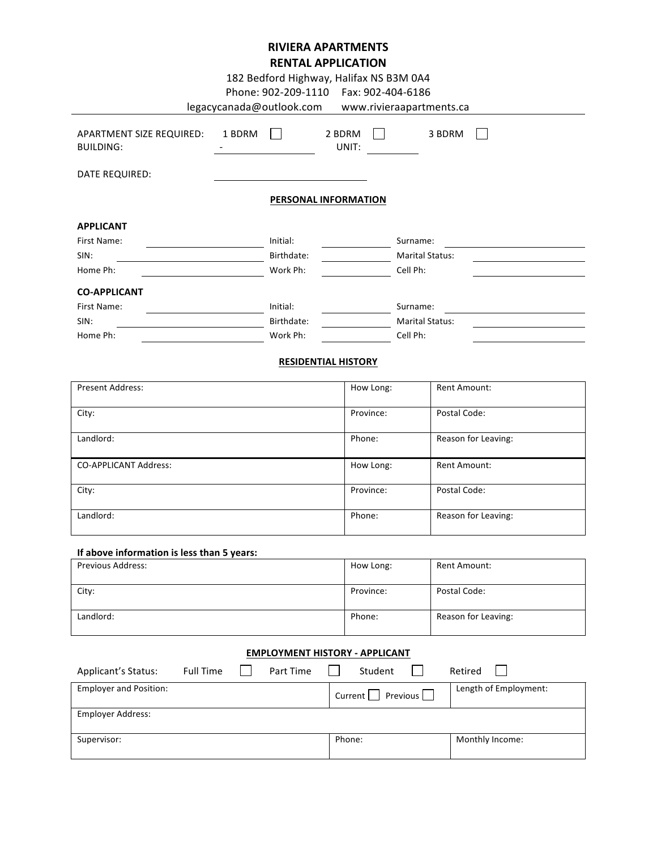# **RIVIERA APARTMENTS RENTAL APPLICATION**

| 182 Bedford Highway, Halifax NS B3M 0A4<br>Phone: 902-209-1110    Fax: 902-404-6186<br>legacycanada@outlook.com www.rivieraapartments.ca |        |                      |                 |           |                        |  |
|------------------------------------------------------------------------------------------------------------------------------------------|--------|----------------------|-----------------|-----------|------------------------|--|
| APARTMENT SIZE REQUIRED:<br><b>BUILDING:</b>                                                                                             | 1 BDRM |                      | 2 BDRM<br>UNIT: |           | 3 BDRM                 |  |
| <b>DATE REQUIRED:</b>                                                                                                                    |        |                      |                 |           |                        |  |
|                                                                                                                                          |        | PERSONAL INFORMATION |                 |           |                        |  |
| <b>APPLICANT</b>                                                                                                                         |        |                      |                 |           |                        |  |
| First Name:                                                                                                                              |        | Initial:             |                 |           | Surname:               |  |
| SIN:                                                                                                                                     |        | Birthdate:           |                 |           | <b>Marital Status:</b> |  |
| Home Ph:                                                                                                                                 |        | Work Ph:             |                 |           | Cell Ph:               |  |
| <b>CO-APPLICANT</b>                                                                                                                      |        |                      |                 |           |                        |  |
| First Name:                                                                                                                              |        | Initial:             |                 |           | Surname:               |  |
| SIN:                                                                                                                                     |        | Birthdate:           |                 |           | <b>Marital Status:</b> |  |
| Home Ph:                                                                                                                                 |        | Work Ph:             |                 |           | Cell Ph:               |  |
| <b>RESIDENTIAL HISTORY</b>                                                                                                               |        |                      |                 |           |                        |  |
| <b>Present Address:</b>                                                                                                                  |        |                      |                 | How Long: | <b>Rent Amount:</b>    |  |
| City:                                                                                                                                    |        |                      |                 | Province: | Postal Code:           |  |

| $  \bullet$                  |           |                     |
|------------------------------|-----------|---------------------|
| Landlord:                    | Phone:    | Reason for Leaving: |
| <b>CO-APPLICANT Address:</b> | How Long: | Rent Amount:        |
| City:                        | Province: | Postal Code:        |
| Landlord:                    | Phone:    | Reason for Leaving: |

## **If above information is less than 5 years:**

| <b>Previous Address:</b> | How Long: | Rent Amount:        |
|--------------------------|-----------|---------------------|
|                          |           |                     |
| City:                    | Province: | Postal Code:        |
| Landlord:                | Phone:    | Reason for Leaving: |

## **EMPLOYMENT HISTORY - APPLICANT**

| Applicant's Status:           | <b>Full Time</b> | Part Time | Student                 | Retired               |
|-------------------------------|------------------|-----------|-------------------------|-----------------------|
| <b>Employer and Position:</b> |                  |           | Previous    <br>Current | Length of Employment: |
| Employer Address:             |                  |           |                         |                       |
| Supervisor:                   |                  |           | Phone:                  | Monthly Income:       |